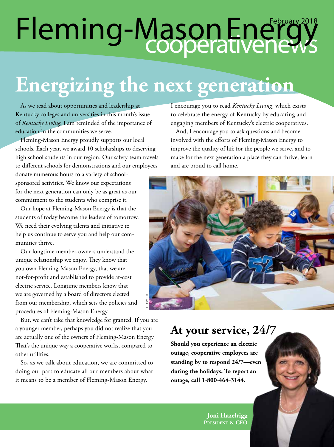### cooperative news Fleming-Mason Energy<sup>2018</sup>

## **Energizing the next generation**

As we read about opportunities and leadership at Kentucky colleges and universities in this month's issue of *Kentucky Living*, I am reminded of the importance of education in the communities we serve.

Fleming-Mason Energy proudly supports our local schools. Each year, we award 10 scholarships to deserving high school students in our region. Our safety team travels to different schools for demonstrations and our employees

donate numerous hours to a variety of schoolsponsored activities. We know our expectations for the next generation can only be as great as our commitment to the students who comprise it.

Our hope at Fleming-Mason Energy is that the students of today become the leaders of tomorrow. We need their evolving talents and initiative to help us continue to serve you and help our communities thrive.

Our longtime member-owners understand the unique relationship we enjoy. They know that you own Fleming-Mason Energy, that we are not-for-profit and established to provide at-cost electric service. Longtime members know that we are governed by a board of directors elected from our membership, which sets the policies and procedures of Fleming-Mason Energy.

But, we can't take that knowledge for granted. If you are a younger member, perhaps you did not realize that you are actually one of the owners of Fleming-Mason Energy. That's the unique way a cooperative works, compared to other utilities.

So, as we talk about education, we are committed to doing our part to educate all our members about what it means to be a member of Fleming-Mason Energy.

I encourage you to read *Kentucky Living*, which exists to celebrate the energy of Kentucky by educating and engaging members of Kentucky's electric cooperatives.

And, I encourage you to ask questions and become involved with the efforts of Fleming-Mason Energy to improve the quality of life for the people we serve, and to make for the next generation a place they can thrive, learn and are proud to call home.



#### **At your service, 24/7**

**Should you experience an electric outage, cooperative employees are standing by to respond 24/7—even during the holidays. To report an outage, call 1-800-464-3144.**

> **Joni Hazelrigg President & CEO**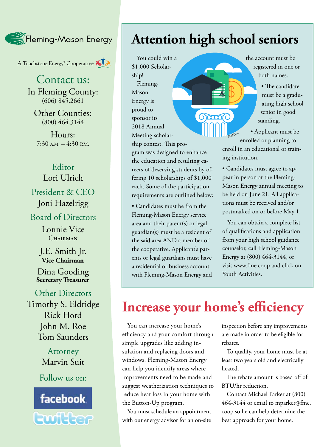Fleming-Mason Energy

A Touchstone Energy<sup>®</sup> Cooperative A

Contact us: In Fleming County:  $(606)$   $845.2661$ 

Other Counties: (800) 464.3144

Hours:  $7:30$  A.M.  $-4:30$  P.M.

#### Editor Lori Ulrich

President & CEO Joni Hazelrigg

Board of Directors

Lonnie Vice CHAIRMAN

J.E. Smith Jr. **Vice Chairman**

Dina Gooding **Secretary Treasurer**

Other Directors Timothy S. Eldridge Rick Hord John M. Roe Tom Saunders

> **Attorney** Marvin Suit

Follow us on:



#### **Attention high school seniors**

Grand

You could win a \$1,000 Scholarship! Fleming-Mason Energy is proud to sponsor its 2018 Annual Meeting scholarship contest. This pro-

gram was designed to enhance the education and resulting careers of deserving students by offering 10 scholarships of \$1,000 each. Some of the participation requirements are outlined below:

• Candidates must be from the Fleming-Mason Energy service area and their parent(s) or legal guardian(s) must be a resident of the said area AND a member of the cooperative. Applicant's parents or legal guardians must have a residential or business account with Fleming-Mason Energy and the account must be registered in one or both names.

> • The candidate must be a graduating high school senior in good standing.

• Applicant must be enrolled or planning to enroll in an educational or training institution. STMOOL

• Candidates must agree to appear in person at the Fleming-Mason Energy annual meeting to be held on June 21. All applications must be received and/or postmarked on or before May 1.

You can obtain a complete list of qualifications and application from your high school guidance counselor, call Fleming-Mason Energy at (800) 464-3144, or visit www.fme.coop and click on Youth Activities.

#### **Increase your home's efficiency**

You can increase your home's efficiency and your comfort through simple upgrades like adding insulation and replacing doors and windows. Fleming-Mason Energy can help you identify areas where improvements need to be made and suggest weatherization techniques to reduce heat loss in your home with the Button-Up program.

You must schedule an appointment with our energy advisor for an on-site

inspection before any improvements are made in order to be eligible for rebates.

To qualify, your home must be at least two years old and electrically heated.

The rebate amount is based off of BTU/hr reduction.

Contact Michael Parker at (800) 464-3144 or email to mparker@fme. coop so he can help determine the best approach for your home.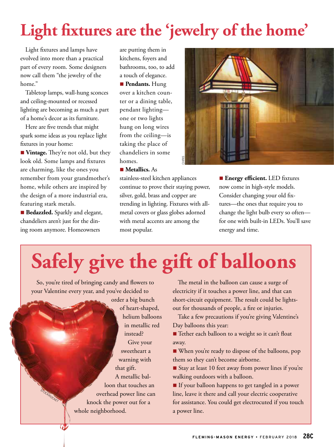### **Light fixtures are the 'jewelry of the home'**

Light fixtures and lamps have evolved into more than a practical part of every room. Some designers now call them "the jewelry of the home."

Tabletop lamps, wall-hung sconces and ceiling-mounted or recessed lighting are becoming as much a part of a home's decor as its furniture.

Here are five trends that might spark some ideas as you replace light fixtures in your home:

**Nintage.** They're not old, but they look old. Some lamps and fixtures are charming, like the ones you remember from your grandmother's home, while others are inspired by the design of a more industrial era, featuring stark metals.

**Bedazzled.** Sparkly and elegant, chandeliers aren't just for the dining room anymore. Homeowners

*COMMENTANT* 

TOCKROCKET

are putting them in kitchens, foyers and bathrooms, too, to add a touch of elegance.

**n** Pendants. Hung over a kitchen counter or a dining table, pendant lighting one or two lights hung on long wires from the ceiling—is taking the place of chandeliers in some homes.

■ **Metallics.** As

stainless-steel kitchen appliances continue to prove their staying power, silver, gold, brass and copper are trending in lighting. Fixtures with allmetal covers or glass globes adorned with metal accents are among the most popular.



**Energy efficient.** LED fixtures now come in high-style models. Consider changing your old fixtures—the ones that require you to change the light bulb every so often for one with built-in LEDs. You'll save energy and time.

# **Safely give the gift of balloons**

So, you're tired of bringing candy and flowers to your Valentine every year, and you've decided to

> order a big bunch of heart-shaped, helium balloons in metallic red instead? Give your sweetheart a warning with that gift. A metallic balloon that touches an overhead power line can knock the power out for a whole neighborhood.

The metal in the balloon can cause a surge of electricity if it touches a power line, and that can short-circuit equipment. The result could be lightsout for thousands of people, a fire or injuries.

Take a few precautions if you're giving Valentine's Day balloons this year:

■ Tether each balloon to a weight so it can't float away.

n When you're ready to dispose of the balloons, pop them so they can't become airborne.

Stay at least 10 feet away from power lines if you're walking outdoors with a balloon.

n If your balloon happens to get tangled in a power line, leave it there and call your electric cooperative for assistance. You could get electrocuted if you touch a power line.